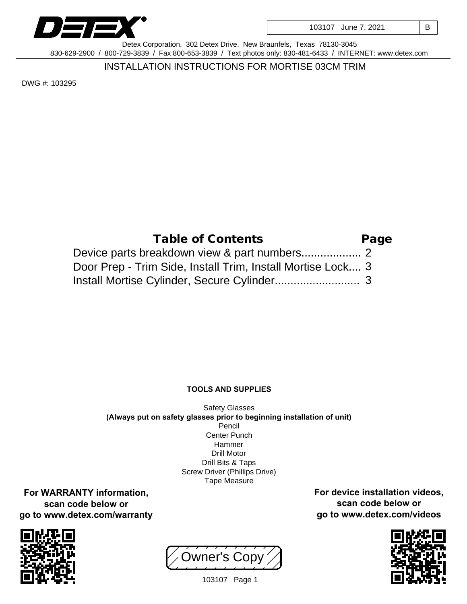

103107 June 7, 2021 | B

Detex Corporation, 302 Detex Drive, New Braunfels, Texas 78130-3045 830-629-2900 / 800-729-3839 / Fax 800-653-3839 / Text photos only: 830-481-6433 / INTERNET: www.detex.com

INSTALLATION INSTRUCTIONS FOR MORTISE 03CM TRIM

DWG #: 103295

| Table of Contents                                           | Page |
|-------------------------------------------------------------|------|
|                                                             |      |
| Door Prep - Trim Side, Install Trim, Install Mortise Lock 3 |      |
|                                                             |      |

## **TOOLS AND SUPPLIES**

Safety Glasses **(Always put on safety glasses prior to beginning installation of unit)** Pencil Center Punch Hammer Drill Motor Drill Bits & Taps Screw Driver (Phillips Drive) Tape Measure

**For WARRANTY information, scan code below or go to www.detex.com/warranty**



Owner's Copy



**For device installation videos, scan code below or go to www.detex.com/videos**

103107 Page 1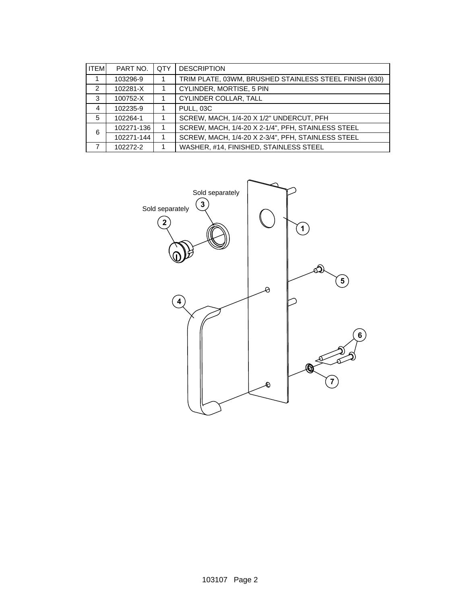| <b>ITEM</b> | PART NO.   | <b>OTY</b> | <b>DESCRIPTION</b>                                     |
|-------------|------------|------------|--------------------------------------------------------|
|             | 103296-9   | 1          | TRIM PLATE, 03WM, BRUSHED STAINLESS STEEL FINISH (630) |
| 2           | 102281-X   |            | CYLINDER, MORTISE, 5 PIN                               |
| 3           | 100752-X   | 1          | CYLINDER COLLAR, TALL                                  |
| 4           | 102235-9   | 1          | PULL, 03C                                              |
| 5           | 102264-1   |            | SCREW, MACH, 1/4-20 X 1/2" UNDERCUT, PFH               |
| 6           | 102271-136 |            | SCREW, MACH, 1/4-20 X 2-1/4", PFH, STAINLESS STEEL     |
|             | 102271-144 | 1          | SCREW, MACH, 1/4-20 X 2-3/4", PFH, STAINLESS STEEL     |
|             | 102272-2   | 1          | WASHER, #14, FINISHED, STAINLESS STEEL                 |